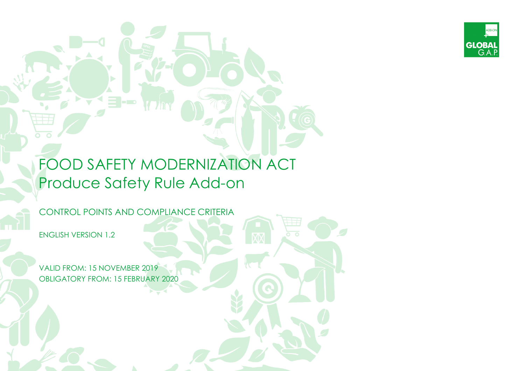

# FOOD SAFETY MODERNIZATION ACT Produce Safety Rule Add-on

CONTROL POINTS AND COMPLIANCE CRITERIA

**E -c** 

ENGLISH VERSION 1.2

VALID FROM: 15 NOVEMBER 2019 OBLIGATORY FROM: 15 FEBRUARY 2020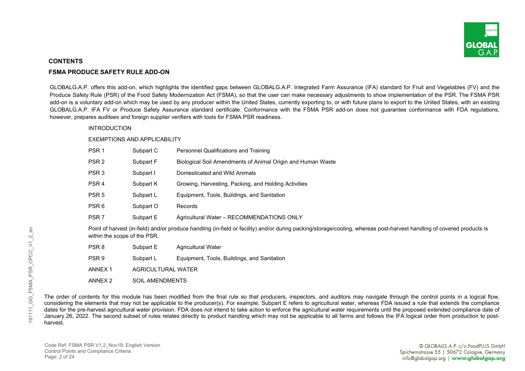

# **CONTENTS**

# **FSMA PRODUCE SAFETY RULE ADD-ON**

GLOBALG.A.P. offers this add-on, which highlights the identified gaps between GLOBALG.A.P. Integrated Farm Assurance (IFA) standard for Fruit and Vegetables (FV) and the Produce Safety Rule (PSR) of the Food Safety Modernization Act (FSMA), so that the user can make necessary adjustments to show implementation of the PSR. The FSMA PSR add-on is a voluntary add-on which may be used by any producer within the United States, currently exporting to, or with future plans to export to the United States, with an existing GLOBALG.A.P. IFA FV or Produce Safety Assurance standard certificate. Conformance with the FSMA PSR add-on does not guarantee conformance with FDA regulations, however, prepares auditees and foreign supplier verifiers with tools for FSMA PSR readiness.

# INTRODUCTION

#### EXEMPTIONS AND APPLICABILITY

| PSR <sub>1</sub>             | Subpart C          | Personnel Qualifications and Training                                                                                                                                  |
|------------------------------|--------------------|------------------------------------------------------------------------------------------------------------------------------------------------------------------------|
| PSR <sub>2</sub>             | Subpart F          | Biological Soil Amendments of Animal Origin and Human Waste                                                                                                            |
| PSR <sub>3</sub>             | Subpart I          | Domesticated and Wild Animals                                                                                                                                          |
| PSR <sub>4</sub>             | Subpart K          | Growing, Harvesting, Packing, and Holding Activities                                                                                                                   |
| PSR <sub>5</sub>             | Subpart L          | Equipment, Tools, Buildings, and Sanitation                                                                                                                            |
| PSR <sub>6</sub>             | Subpart O          | Records                                                                                                                                                                |
| PSR <sub>7</sub>             | Subpart E          | Agricultural Water - RECOMMENDATIONS ONLY                                                                                                                              |
| within the scope of the PSR. |                    | Point of harvest (in-field) and/or produce handling (in-field or facility) and/or during packing/storage/cooling, whereas post-harvest handling of covered products is |
| PSR <sub>8</sub>             | Subpart E          | Agricultural Water                                                                                                                                                     |
| PSR <sub>9</sub>             | Subpart L          | Equipment, Tools, Buildings, and Sanitation                                                                                                                            |
| ANNEX <sub>1</sub>           | AGRICULTURAL WATER |                                                                                                                                                                        |
| ANNEX <sub>2</sub>           | SOIL AMENDMENTS    |                                                                                                                                                                        |

The order of contents for this module has been modified from the final rule so that producers, inspectors, and auditors may navigate through the control points in a logical flow, considering the elements that may not be applicable to the producer(s). For example, Subpart E refers to agricultural water, whereas FDA issued a rule that extends the compliance dates for the pre-harvest agricultural water provision. FDA does not intend to take action to enforce the agricultural water requirements until the proposed extended compliance date of January 26, 2022. The second subset of rules relates directly to product handling which may not be applicable to all farms and follows the IFA logical order from production to postharvest.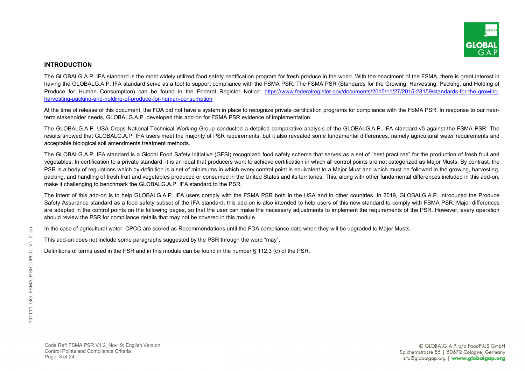

# **INTRODUCTION**

The GLOBALG.A.P. IFA standard is the most widely utilized food safety certification program for fresh produce in the world. With the enactment of the FSMA, there is great interest in having the GLOBALG.A.P. IFA standard serve as a tool to support compliance with the FSMA PSR. The FSMA PSR (Standards for the Growing, Harvesting, Packing, and Holding of Produce for Human Consumption) can be found in the Federal Register Notice: [https://www.federalregister.gov/documents/2015/11/27/2015-28159/standards-for-the-growing](https://www.federalregister.gov/documents/2015/11/27/2015-28159/standards-for-the-growing-harvesting-packing-and-holding-of-produce-for-human-consumption)[harvesting-packing-and-holding-of-produce-for-human-consumption](https://www.federalregister.gov/documents/2015/11/27/2015-28159/standards-for-the-growing-harvesting-packing-and-holding-of-produce-for-human-consumption)

At the time of release of this document, the FDA did not have a system in place to recognize private certification programs for compliance with the FSMA PSR. In response to our nearterm stakeholder needs, GLOBALG.A.P. developed this add-on for FSMA PSR evidence of implementation.

The GLOBALG.A.P. USA Crops National Technical Working Group conducted a detailed comparative analysis of the GLOBALG.A.P. IFA standard v5 against the FSMA PSR. The results showed that GLOBALG.A.P. IFA users meet the majority of PSR requirements, but it also revealed some fundamental differences, namely agricultural water requirements and acceptable biological soil amendments treatment methods.

The GLOBALG.A.P. IFA standard is a Global Food Safety Initiative (GFSI) recognized food safety scheme that serves as a set of "best practices" for the production of fresh fruit and vegetables. In certification to a private standard, it is an ideal that producers work to achieve certification in which all control points are not categorized as Major Musts. By contrast, the PSR is a body of regulations which by definition is a set of minimums in which every control point is equivalent to a Major Must and which must be followed in the growing, harvesting, packing, and handling of fresh fruit and vegetables produced or consumed in the United States and its territories. This, along with other fundamental differences included in this add-on, make it challenging to benchmark the GLOBALG.A.P. IFA standard to the PSR.

The intent of this add-on is to help GLOBALG.A.P. IFA users comply with the FSMA PSR both in the USA and in other countries. In 2019, GLOBALG.A.P. introduced the Produce Safety Assurance standard as a food safety subset of the IFA standard, this add-on is also intended to help users of this new standard to comply with FSMA PSR. Major differences are adapted in the control points on the following pages, so that the user can make the necessary adjustments to implement the requirements of the PSR. However, every operation should review the PSR for compliance details that may not be covered in this module.

In the case of agricultural water, CPCC are scored as Recommendations until the FDA compliance date when they will be upgraded to Major Musts.

This add-on does not include some paragraphs suggested by the PSR through the word "may".

Definitions of terms used in the PSR and in this module can be found in the number § 112.3 (c) of the PSR.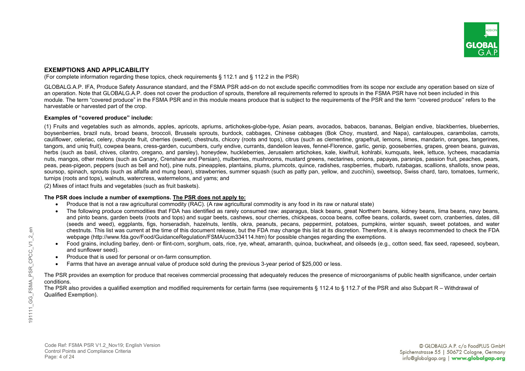

# **EXEMPTIONS AND APPLICABILITY**

(For complete information regarding these topics, check requirements § 112.1 and § 112.2 in the PSR)

GLOBALG.A.P. IFA, Produce Safety Assurance standard, and the FSMA PSR add-on do not exclude specific commodities from its scope nor exclude any operation based on size of an operation. Note that GLOBALG.A.P. does not cover the production of sprouts, therefore all requirements referred to sprouts in the FSMA PSR have not been included in this module. The term "covered produce" in the FSMA PSR and in this module means produce that is subject to the requirements of the PSR and the term ''covered produce'' refers to the harvestable or harvested part of the crop.

# **Examples of "covered produce" include:**

(1) Fruits and vegetables such as almonds, apples, apricots, apriums, artichokes-globe-type, Asian pears, avocados, babacos, bananas, Belgian endive, blackberries, blueberries, boysenberries, brazil nuts, broad beans, broccoli, Brussels sprouts, burdock, cabbages, Chinese cabbages (Bok Choy, mustard, and Napa), cantaloupes, carambolas, carrots, cauliflower, celeriac, celery, chayote fruit, cherries (sweet), chestnuts, chicory (roots and tops), citrus (such as clementine, grapefruit, lemons, limes, mandarin, oranges, tangerines, tangors, and uniq fruit), cowpea beans, cress-garden, cucumbers, curly endive, currants, dandelion leaves, fennel-Florence, garlic, genip, gooseberries, grapes, green beans, guavas, herbs (such as basil, chives, cilantro, oregano, and parsley), honeydew, huckleberries, Jerusalem artichokes, kale, kiwifruit, kohlrabi, kumquats, leek, lettuce, lychees, macadamia nuts, mangos, other melons (such as Canary, Crenshaw and Persian), mulberries, mushrooms, mustard greens, nectarines, onions, papayas, parsnips, passion fruit, peaches, pears, peas, peas-pigeon, peppers (such as bell and hot), pine nuts, pineapples, plantains, plums, plumcots, quince, radishes, raspberries, rhubarb, rutabagas, scallions, shallots, snow peas, soursop, spinach, sprouts (such as alfalfa and mung bean), strawberries, summer squash (such as patty pan, yellow, and zucchini), sweetsop, Swiss chard, taro, tomatoes, turmeric, turnips (roots and tops), walnuts, watercress, watermelons, and yams; and

(2) Mixes of intact fruits and vegetables (such as fruit baskets).

# **The PSR does include a number of exemptions. The PSR does not apply to:**

- Produce that is not a raw agricultural commodity (RAC). (A raw agricultural commodity is any food in its raw or natural state)
- The following produce commodities that FDA has identified as rarely consumed raw: asparagus, black beans, great Northern beans, kidney beans, lima beans, navy beans, and pinto beans, garden beets (roots and tops) and sugar beets, cashews, sour cherries, chickpeas, cocoa beans, coffee beans, collards, sweet corn, cranberries, dates, dill (seeds and weed), eggplants, figs, horseradish, hazelnuts, lentils, okra, peanuts, pecans, peppermint, potatoes, pumpkins, winter squash, sweet potatoes, and water chestnuts. This list was current at the time of this document release, but the FDA may change this list at its discretion. Therefore, it is always recommended to check the FDA webpage (http://www.fda.gov/Food/GuidanceRegulation/FSMA/ucm334114.htm) for possible changes regarding the exemptions.
- Food grains, including barley, dent- or flint-corn, sorghum, oats, rice, rye, wheat, amaranth, quinoa, buckwheat, and oilseeds (e.g., cotton seed, flax seed, rapeseed, soybean, and sunflower seed).
- Produce that is used for personal or on-farm consumption.
- Farms that have an average annual value of produce sold during the previous 3-year period of \$25,000 or less.

The PSR provides an exemption for produce that receives commercial processing that adequately reduces the presence of microorganisms of public health significance, under certain conditions.

The PSR also provides a qualified exemption and modified requirements for certain farms (see requirements § 112.4 to § 112.7 of the PSR and also Subpart R – Withdrawal of Qualified Exemption).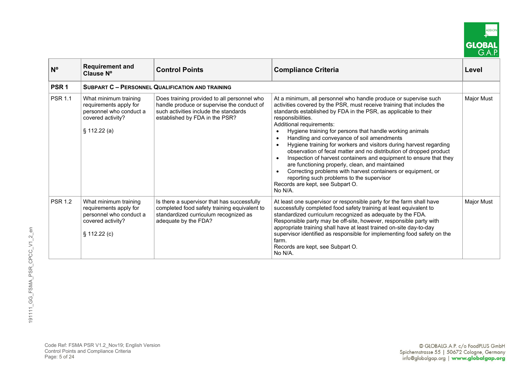

| $N^{\circ}$      | <b>Requirement and</b><br>Clause N°                                                                            | <b>Control Points</b>                                                                                                                                                | <b>Compliance Criteria</b>                                                                                                                                                                                                                                                                                                                                                                                                                                                                                                                                                                                                                                                                                                                                                                                | Level      |
|------------------|----------------------------------------------------------------------------------------------------------------|----------------------------------------------------------------------------------------------------------------------------------------------------------------------|-----------------------------------------------------------------------------------------------------------------------------------------------------------------------------------------------------------------------------------------------------------------------------------------------------------------------------------------------------------------------------------------------------------------------------------------------------------------------------------------------------------------------------------------------------------------------------------------------------------------------------------------------------------------------------------------------------------------------------------------------------------------------------------------------------------|------------|
| PSR <sub>1</sub> |                                                                                                                | <b>SUBPART C - PERSONNEL QUALIFICATION AND TRAINING</b>                                                                                                              |                                                                                                                                                                                                                                                                                                                                                                                                                                                                                                                                                                                                                                                                                                                                                                                                           |            |
| <b>PSR 1.1</b>   | What minimum training<br>requirements apply for<br>personnel who conduct a<br>covered activity?<br>§ 112.22(a) | Does training provided to all personnel who<br>handle produce or supervise the conduct of<br>such activities include the standards<br>established by FDA in the PSR? | At a minimum, all personnel who handle produce or supervise such<br>activities covered by the PSR, must receive training that includes the<br>standards established by FDA in the PSR, as applicable to their<br>responsibilities.<br>Additional requirements:<br>Hygiene training for persons that handle working animals<br>Handling and conveyance of soil amendments<br>Hygiene training for workers and visitors during harvest regarding<br>observation of fecal matter and no distribution of dropped product<br>Inspection of harvest containers and equipment to ensure that they<br>are functioning properly, clean, and maintained<br>Correcting problems with harvest containers or equipment, or<br>reporting such problems to the supervisor<br>Records are kept, see Subpart O.<br>No N/A. | Major Must |
| <b>PSR 1.2</b>   | What minimum training<br>requirements apply for<br>personnel who conduct a<br>covered activity?<br>§ 112.22(c) | Is there a supervisor that has successfully<br>completed food safety training equivalent to<br>standardized curriculum recognized as<br>adequate by the FDA?         | At least one supervisor or responsible party for the farm shall have<br>successfully completed food safety training at least equivalent to<br>standardized curriculum recognized as adequate by the FDA.<br>Responsible party may be off-site, however, responsible party with<br>appropriate training shall have at least trained on-site day-to-day<br>supervisor identified as responsible for implementing food safety on the<br>farm.<br>Records are kept, see Subpart O.<br>No N/A.                                                                                                                                                                                                                                                                                                                 | Major Must |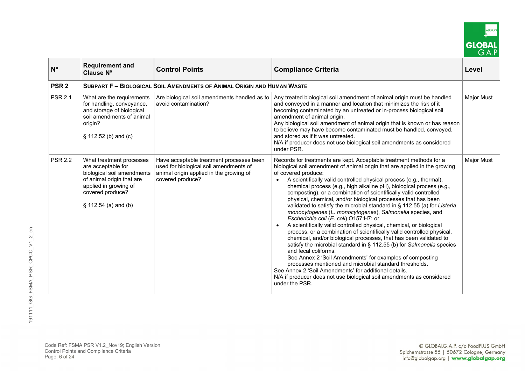

| $N^{\circ}$      | <b>Requirement and</b><br>Clause Nº                                                                                                                                              | <b>Control Points</b>                                                                                                                             | <b>Compliance Criteria</b>                                                                                                                                                                                                                                                                                                                                                                                                                                                                                                                                                                                                                                                                                                                                                                                                                                                                                                                                                                                                                                                                                                                                                                                                                       | Level             |
|------------------|----------------------------------------------------------------------------------------------------------------------------------------------------------------------------------|---------------------------------------------------------------------------------------------------------------------------------------------------|--------------------------------------------------------------------------------------------------------------------------------------------------------------------------------------------------------------------------------------------------------------------------------------------------------------------------------------------------------------------------------------------------------------------------------------------------------------------------------------------------------------------------------------------------------------------------------------------------------------------------------------------------------------------------------------------------------------------------------------------------------------------------------------------------------------------------------------------------------------------------------------------------------------------------------------------------------------------------------------------------------------------------------------------------------------------------------------------------------------------------------------------------------------------------------------------------------------------------------------------------|-------------------|
| PSR <sub>2</sub> |                                                                                                                                                                                  | SUBPART F - BIOLOGICAL SOIL AMENDMENTS OF ANIMAL ORIGIN AND HUMAN WASTE                                                                           |                                                                                                                                                                                                                                                                                                                                                                                                                                                                                                                                                                                                                                                                                                                                                                                                                                                                                                                                                                                                                                                                                                                                                                                                                                                  |                   |
| <b>PSR 2.1</b>   | What are the requirements<br>for handling, conveyance,<br>and storage of biological<br>soil amendments of animal<br>origin?<br>$\S$ 112.52 (b) and (c)                           | Are biological soil amendments handled as to<br>avoid contamination?                                                                              | Any treated biological soil amendment of animal origin must be handled<br>and conveyed in a manner and location that minimizes the risk of it<br>becoming contaminated by an untreated or in-process biological soil<br>amendment of animal origin.<br>Any biological soil amendment of animal origin that is known or has reason<br>to believe may have become contaminated must be handled, conveyed,<br>and stored as if it was untreated.<br>N/A if producer does not use biological soil amendments as considered<br>under PSR.                                                                                                                                                                                                                                                                                                                                                                                                                                                                                                                                                                                                                                                                                                             | <b>Major Must</b> |
| <b>PSR 2.2</b>   | What treatment processes<br>are acceptable for<br>biological soil amendments<br>of animal origin that are<br>applied in growing of<br>covered produce?<br>$§ 112.54$ (a) and (b) | Have acceptable treatment processes been<br>used for biological soil amendments of<br>animal origin applied in the growing of<br>covered produce? | Records for treatments are kept. Acceptable treatment methods for a<br>biological soil amendment of animal origin that are applied in the growing<br>of covered produce:<br>A scientifically valid controlled physical process (e.g., thermal),<br>chemical process (e.g., high alkaline pH), biological process (e.g.,<br>composting), or a combination of scientifically valid controlled<br>physical, chemical, and/or biological processes that has been<br>validated to satisfy the microbial standard in § 112.55 (a) for Listeria<br>monocytogenes (L. monocytogenes), Salmonella species, and<br>Escherichia coli (E. coli) O157:H7; or<br>A scientifically valid controlled physical, chemical, or biological<br>process, or a combination of scientifically valid controlled physical,<br>chemical, and/or biological processes, that has been validated to<br>satisfy the microbial standard in § 112.55 (b) for Salmonella species<br>and fecal coliforms.<br>See Annex 2 'Soil Amendments' for examples of composting<br>processes mentioned and microbial standard thresholds.<br>See Annex 2 'Soil Amendments' for additional details.<br>N/A if producer does not use biological soil amendments as considered<br>under the PSR. | <b>Major Must</b> |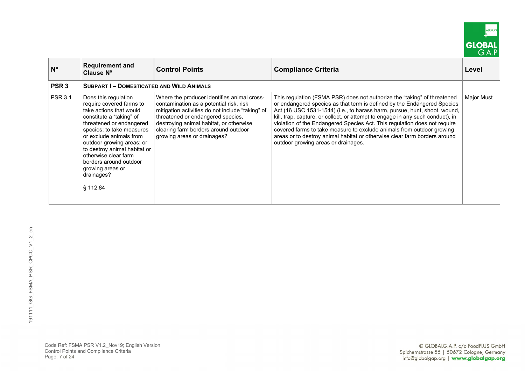

| $N^{\circ}$      | <b>Requirement and</b><br>Clause N°                                                                                                                                                                                                                                                                                                                      | <b>Control Points</b>                                                                                                                                                                                                                                                                             | <b>Compliance Criteria</b>                                                                                                                                                                                                                                                                                                                                                                                                                                                                                                                                                                   | Level      |
|------------------|----------------------------------------------------------------------------------------------------------------------------------------------------------------------------------------------------------------------------------------------------------------------------------------------------------------------------------------------------------|---------------------------------------------------------------------------------------------------------------------------------------------------------------------------------------------------------------------------------------------------------------------------------------------------|----------------------------------------------------------------------------------------------------------------------------------------------------------------------------------------------------------------------------------------------------------------------------------------------------------------------------------------------------------------------------------------------------------------------------------------------------------------------------------------------------------------------------------------------------------------------------------------------|------------|
| PSR <sub>3</sub> | <b>SUBPART I-DOMESTICATED AND WILD ANIMALS</b>                                                                                                                                                                                                                                                                                                           |                                                                                                                                                                                                                                                                                                   |                                                                                                                                                                                                                                                                                                                                                                                                                                                                                                                                                                                              |            |
| <b>PSR 3.1</b>   | Does this regulation<br>require covered farms to<br>take actions that would<br>constitute a "taking" of<br>threatened or endangered<br>species; to take measures<br>or exclude animals from<br>outdoor growing areas; or<br>to destroy animal habitat or<br>otherwise clear farm<br>borders around outdoor<br>growing areas or<br>drainages?<br>§ 112.84 | Where the producer identifies animal cross-<br>contamination as a potential risk, risk<br>mitigation activities do not include "taking" of<br>threatened or endangered species,<br>destroying animal habitat, or otherwise<br>clearing farm borders around outdoor<br>growing areas or drainages? | This regulation (FSMA PSR) does not authorize the "taking" of threatened<br>or endangered species as that term is defined by the Endangered Species<br>Act (16 USC 1531-1544) (i.e., to harass harm, pursue, hunt, shoot, wound,<br>kill, trap, capture, or collect, or attempt to engage in any such conduct), in<br>violation of the Endangered Species Act. This regulation does not require<br>covered farms to take measure to exclude animals from outdoor growing<br>areas or to destroy animal habitat or otherwise clear farm borders around<br>outdoor growing areas or drainages. | Major Must |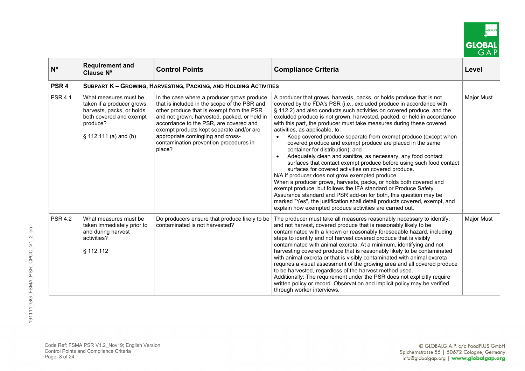

| $N^{\circ}$      | <b>Requirement and</b><br>Clause N°                                                                                                              | <b>Control Points</b>                                                                                                                                                                                                                                                                                                                                                  | <b>Compliance Criteria</b>                                                                                                                                                                                                                                                                                                                                                                                                                                                                                                                                                                                                                                                                                                                                                                                                                                                                                                                                                                                                                                                                                                                                                                                     | Level             |
|------------------|--------------------------------------------------------------------------------------------------------------------------------------------------|------------------------------------------------------------------------------------------------------------------------------------------------------------------------------------------------------------------------------------------------------------------------------------------------------------------------------------------------------------------------|----------------------------------------------------------------------------------------------------------------------------------------------------------------------------------------------------------------------------------------------------------------------------------------------------------------------------------------------------------------------------------------------------------------------------------------------------------------------------------------------------------------------------------------------------------------------------------------------------------------------------------------------------------------------------------------------------------------------------------------------------------------------------------------------------------------------------------------------------------------------------------------------------------------------------------------------------------------------------------------------------------------------------------------------------------------------------------------------------------------------------------------------------------------------------------------------------------------|-------------------|
| PSR <sub>4</sub> |                                                                                                                                                  | <b>SUBPART K - GROWING, HARVESTING, PACKING, AND HOLDING ACTIVITIES</b>                                                                                                                                                                                                                                                                                                |                                                                                                                                                                                                                                                                                                                                                                                                                                                                                                                                                                                                                                                                                                                                                                                                                                                                                                                                                                                                                                                                                                                                                                                                                |                   |
| <b>PSR 4.1</b>   | What measures must be<br>taken if a producer grows,<br>harvests, packs, or holds<br>both covered and exempt<br>produce?<br>§ 112.111 (a) and (b) | In the case where a producer grows produce<br>that is included in the scope of the PSR and<br>other produce that is exempt from the PSR<br>and not grown, harvested, packed, or held in<br>accordance to the PSR, are covered and<br>exempt products kept separate and/or are<br>appropriate comingling and cross-<br>contamination prevention procedures in<br>place? | A producer that grows, harvests, packs, or holds produce that is not<br>covered by the FDA's PSR (i.e., excluded produce in accordance with<br>§ 112.2) and also conducts such activities on covered produce, and the<br>excluded produce is not grown, harvested, packed, or held in accordance<br>with this part, the producer must take measures during these covered<br>activities, as applicable, to:<br>Keep covered produce separate from exempt produce (except when<br>$\bullet$<br>covered produce and exempt produce are placed in the same<br>container for distribution); and<br>Adequately clean and sanitize, as necessary, any food contact<br>$\bullet$<br>surfaces that contact exempt produce before using such food contact<br>surfaces for covered activities on covered produce.<br>N/A if producer does not grow exempted produce.<br>When a producer grows, harvests, packs, or holds both covered and<br>exempt produce, but follows the IFA standard or Produce Safety<br>Assurance standard and PSR add-on for both, this question may be<br>marked "Yes", the justification shall detail products covered, exempt, and<br>explain how exempted produce activities are carried out. | <b>Major Must</b> |
| <b>PSR 4.2</b>   | What measures must be<br>taken immediately prior to<br>and during harvest<br>activities?<br>§ 112.112                                            | Do producers ensure that produce likely to be<br>contaminated is not harvested?                                                                                                                                                                                                                                                                                        | The producer must take all measures reasonably necessary to identify,<br>and not harvest, covered produce that is reasonably likely to be<br>contaminated with a known or reasonably foreseeable hazard, including<br>steps to identify and not harvest covered produce that is visibly<br>contaminated with animal excreta. At a minimum, identifying and not<br>harvesting covered produce that is reasonably likely to be contaminated<br>with animal excreta or that is visibly contaminated with animal excreta<br>requires a visual assessment of the growing area and all covered produce<br>to be harvested, regardless of the harvest method used.<br>Additionally: The requirement under the PSR does not explicitly require<br>written policy or record. Observation and implicit policy may be verified<br>through worker interviews.                                                                                                                                                                                                                                                                                                                                                              | Major Must        |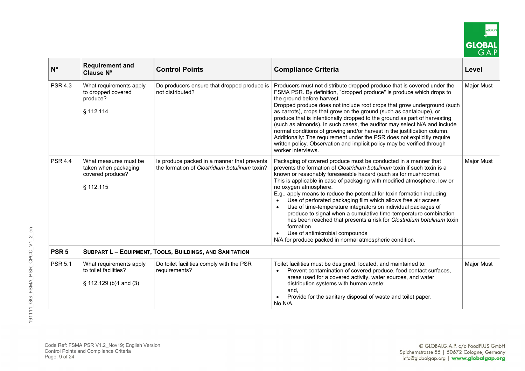

| N <sup>o</sup>   | <b>Requirement and</b><br>Clause N°                                            | <b>Control Points</b>                                                                        | <b>Compliance Criteria</b>                                                                                                                                                                                                                                                                                                                                                                                                                                                                                                                                                                                                                                                                                                                                                                            | Level             |
|------------------|--------------------------------------------------------------------------------|----------------------------------------------------------------------------------------------|-------------------------------------------------------------------------------------------------------------------------------------------------------------------------------------------------------------------------------------------------------------------------------------------------------------------------------------------------------------------------------------------------------------------------------------------------------------------------------------------------------------------------------------------------------------------------------------------------------------------------------------------------------------------------------------------------------------------------------------------------------------------------------------------------------|-------------------|
| <b>PSR 4.3</b>   | What requirements apply<br>to dropped covered<br>produce?<br>§ 112.114         | Do producers ensure that dropped produce is<br>not distributed?                              | Producers must not distribute dropped produce that is covered under the<br>FSMA PSR. By definition, "dropped produce" is produce which drops to<br>the ground before harvest.<br>Dropped produce does not include root crops that grow underground (such<br>as carrots), crops that grow on the ground (such as cantaloupe), or<br>produce that is intentionally dropped to the ground as part of harvesting<br>(such as almonds). In such cases, the auditor may select N/A and include<br>normal conditions of growing and/or harvest in the justification column.<br>Additionally: The requirement under the PSR does not explicitly require<br>written policy. Observation and implicit policy may be verified through<br>worker interviews.                                                      | <b>Major Must</b> |
| <b>PSR 4.4</b>   | What measures must be<br>taken when packaging<br>covered produce?<br>§ 112.115 | Is produce packed in a manner that prevents<br>the formation of Clostridium botulinum toxin? | Packaging of covered produce must be conducted in a manner that<br>prevents the formation of Clostridium botulinum toxin if such toxin is a<br>known or reasonably foreseeable hazard (such as for mushrooms).<br>This is applicable in case of packaging with modified atmosphere, low or<br>no oxygen atmosphere.<br>E.g., apply means to reduce the potential for toxin formation including:<br>Use of perforated packaging film which allows free air access<br>Use of time-temperature integrators on individual packages of<br>produce to signal when a cumulative time-temperature combination<br>has been reached that presents a risk for Clostridium botulinum toxin<br>formation<br>Use of antimicrobial compounds<br>$\bullet$<br>N/A for produce packed in normal atmospheric condition. | <b>Major Must</b> |
| PSR <sub>5</sub> |                                                                                | <b>SUBPART L - EQUIPMENT, TOOLS, BUILDINGS, AND SANITATION</b>                               |                                                                                                                                                                                                                                                                                                                                                                                                                                                                                                                                                                                                                                                                                                                                                                                                       |                   |
| <b>PSR 5.1</b>   | What requirements apply<br>to toilet facilities?<br>$\S$ 112.129 (b)1 and (3)  | Do toilet facilities comply with the PSR<br>requirements?                                    | Toilet facilities must be designed, located, and maintained to:<br>Prevent contamination of covered produce, food contact surfaces,<br>$\bullet$<br>areas used for a covered activity, water sources, and water<br>distribution systems with human waste;<br>and,<br>Provide for the sanitary disposal of waste and toilet paper.<br>No N/A.                                                                                                                                                                                                                                                                                                                                                                                                                                                          | <b>Major Must</b> |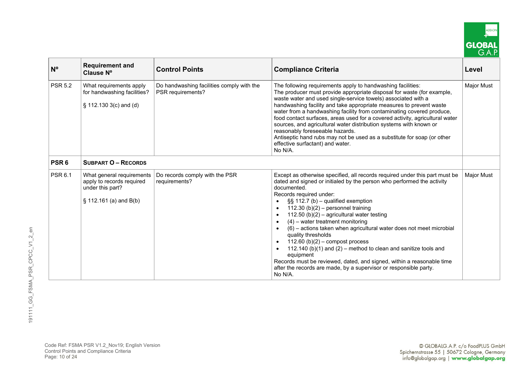

| $N^{\circ}$      | <b>Requirement and</b><br>Clause Nº                                                                     | <b>Control Points</b>                                          | <b>Compliance Criteria</b>                                                                                                                                                                                                                                                                                                                                                                                                                                                                                                                                                                                                                                                                                                                                           | Level             |
|------------------|---------------------------------------------------------------------------------------------------------|----------------------------------------------------------------|----------------------------------------------------------------------------------------------------------------------------------------------------------------------------------------------------------------------------------------------------------------------------------------------------------------------------------------------------------------------------------------------------------------------------------------------------------------------------------------------------------------------------------------------------------------------------------------------------------------------------------------------------------------------------------------------------------------------------------------------------------------------|-------------------|
| <b>PSR 5.2</b>   | What requirements apply<br>for handwashing facilities?<br>$\S$ 112.130 3(c) and (d)                     | Do handwashing facilities comply with the<br>PSR requirements? | The following requirements apply to handwashing facilities:<br>The producer must provide appropriate disposal for waste (for example,<br>waste water and used single-service towels) associated with a<br>handwashing facility and take appropriate measures to prevent waste<br>water from a handwashing facility from contaminating covered produce,<br>food contact surfaces, areas used for a covered activity, agricultural water<br>sources, and agricultural water distribution systems with known or<br>reasonably foreseeable hazards.<br>Antiseptic hand rubs may not be used as a substitute for soap (or other<br>effective surfactant) and water.<br>No N/A.                                                                                            | <b>Major Must</b> |
| PSR <sub>6</sub> | <b>SUBPART O - RECORDS</b>                                                                              |                                                                |                                                                                                                                                                                                                                                                                                                                                                                                                                                                                                                                                                                                                                                                                                                                                                      |                   |
| <b>PSR 6.1</b>   | What general requirements<br>apply to records required<br>under this part?<br>$\S$ 112.161 (a) and B(b) | Do records comply with the PSR<br>requirements?                | Except as otherwise specified, all records required under this part must be<br>dated and signed or initialed by the person who performed the activity<br>documented.<br>Records required under:<br>$\S$ 112.7 (b) – qualified exemption<br>112.30 (b) $(2)$ – personnel training<br>$\bullet$<br>112.50 (b)(2) - agricultural water testing<br>$(4)$ – water treatment monitoring<br>(6) - actions taken when agricultural water does not meet microbial<br>quality thresholds<br>$\bullet$ 112.60 (b)(2) – compost process<br>112.140 (b)(1) and (2) – method to clean and sanitize tools and<br>equipment<br>Records must be reviewed, dated, and signed, within a reasonable time<br>after the records are made, by a supervisor or responsible party.<br>No N/A. | <b>Major Must</b> |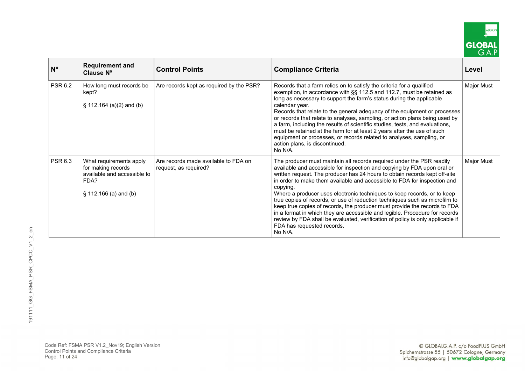

| N <sup>o</sup> | <b>Requirement and</b><br>Clause N°                                                                              | <b>Control Points</b>                                         | <b>Compliance Criteria</b>                                                                                                                                                                                                                                                                                                                                                                                                                                                                                                                                                                                                                                                                                                                                              | Level      |
|----------------|------------------------------------------------------------------------------------------------------------------|---------------------------------------------------------------|-------------------------------------------------------------------------------------------------------------------------------------------------------------------------------------------------------------------------------------------------------------------------------------------------------------------------------------------------------------------------------------------------------------------------------------------------------------------------------------------------------------------------------------------------------------------------------------------------------------------------------------------------------------------------------------------------------------------------------------------------------------------------|------------|
| <b>PSR 6.2</b> | How long must records be<br>kept?<br>$\S$ 112.164 (a)(2) and (b)                                                 | Are records kept as required by the PSR?                      | Records that a farm relies on to satisfy the criteria for a qualified<br>exemption, in accordance with §§ 112.5 and 112.7, must be retained as<br>long as necessary to support the farm's status during the applicable<br>calendar year.<br>Records that relate to the general adequacy of the equipment or processes<br>or records that relate to analyses, sampling, or action plans being used by<br>a farm, including the results of scientific studies, tests, and evaluations,<br>must be retained at the farm for at least 2 years after the use of such<br>equipment or processes, or records related to analyses, sampling, or<br>action plans, is discontinued.<br>No N/A.                                                                                    | Major Must |
| <b>PSR 6.3</b> | What requirements apply<br>for making records<br>available and accessible to<br>FDA?<br>$\S$ 112.166 (a) and (b) | Are records made available to FDA on<br>request, as required? | The producer must maintain all records required under the PSR readily<br>available and accessible for inspection and copying by FDA upon oral or<br>written request. The producer has 24 hours to obtain records kept off-site<br>in order to make them available and accessible to FDA for inspection and<br>copying.<br>Where a producer uses electronic techniques to keep records, or to keep<br>true copies of records, or use of reduction techniques such as microfilm to<br>keep true copies of records, the producer must provide the records to FDA<br>in a format in which they are accessible and legible. Procedure for records<br>review by FDA shall be evaluated, verification of policy is only applicable if<br>FDA has requested records.<br>No N/A. | Major Must |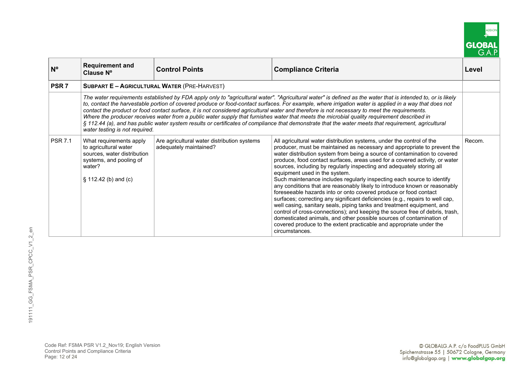

| $N^{\circ}$      | <b>Requirement and</b><br>Clause N°                                                                                                             | <b>Control Points</b>                                                 | <b>Compliance Criteria</b>                                                                                                                                                                                                                                                                                                                                                                                                                                                                                                                                                                                                                                                                                                                                                                                                                                                                                                                                                                                                                                      | Level  |
|------------------|-------------------------------------------------------------------------------------------------------------------------------------------------|-----------------------------------------------------------------------|-----------------------------------------------------------------------------------------------------------------------------------------------------------------------------------------------------------------------------------------------------------------------------------------------------------------------------------------------------------------------------------------------------------------------------------------------------------------------------------------------------------------------------------------------------------------------------------------------------------------------------------------------------------------------------------------------------------------------------------------------------------------------------------------------------------------------------------------------------------------------------------------------------------------------------------------------------------------------------------------------------------------------------------------------------------------|--------|
| PSR <sub>7</sub> |                                                                                                                                                 | <b>SUBPART E - AGRICULTURAL WATER (PRE-HARVEST)</b>                   |                                                                                                                                                                                                                                                                                                                                                                                                                                                                                                                                                                                                                                                                                                                                                                                                                                                                                                                                                                                                                                                                 |        |
|                  | water testing is not required.                                                                                                                  |                                                                       | The water requirements established by FDA apply only to "agricultural water". "Agricultural water" is defined as the water that is intended to, or is likely<br>to, contact the harvestable portion of covered produce or food-contact surfaces. For example, where irrigation water is applied in a way that does not<br>contact the product or food contact surface, it is not considered agricultural water and therefore is not necessary to meet the requirements.<br>Where the producer receives water from a public water supply that furnishes water that meets the microbial quality requirement described in<br>§ 112.44 (a), and has public water system results or certificates of compliance that demonstrate that the water meets that requirement, agricultural                                                                                                                                                                                                                                                                                  |        |
| <b>PSR 7.1</b>   | What requirements apply<br>to agricultural water<br>sources, water distribution<br>systems, and pooling of<br>water?<br>$\S$ 112.42 (b) and (c) | Are agricultural water distribution systems<br>adequately maintained? | All agricultural water distribution systems, under the control of the<br>producer, must be maintained as necessary and appropriate to prevent the<br>water distribution system from being a source of contamination to covered<br>produce, food contact surfaces, areas used for a covered activity, or water<br>sources, including by regularly inspecting and adequately storing all<br>equipment used in the system.<br>Such maintenance includes regularly inspecting each source to identify<br>any conditions that are reasonably likely to introduce known or reasonably<br>foreseeable hazards into or onto covered produce or food contact<br>surfaces; correcting any significant deficiencies (e.g., repairs to well cap,<br>well casing, sanitary seals, piping tanks and treatment equipment, and<br>control of cross-connections); and keeping the source free of debris, trash,<br>domesticated animals, and other possible sources of contamination of<br>covered produce to the extent practicable and appropriate under the<br>circumstances. | Recom. |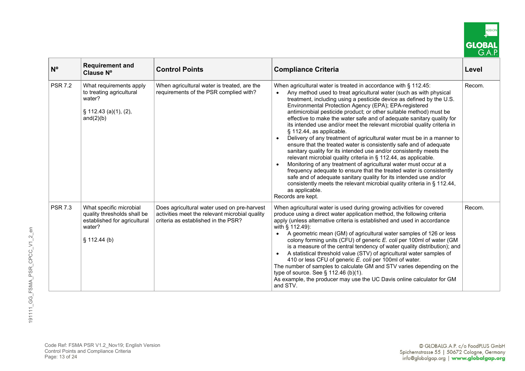

| $N^{\circ}$    | <b>Requirement and</b><br>Clause N°                                                                             | <b>Control Points</b>                                                                                                                | <b>Compliance Criteria</b>                                                                                                                                                                                                                                                                                                                                                                                                                                                                                                                                                                                                                                                                                                                                                                                                                                                                                                                                                                                                                                                                                                                                | Level  |
|----------------|-----------------------------------------------------------------------------------------------------------------|--------------------------------------------------------------------------------------------------------------------------------------|-----------------------------------------------------------------------------------------------------------------------------------------------------------------------------------------------------------------------------------------------------------------------------------------------------------------------------------------------------------------------------------------------------------------------------------------------------------------------------------------------------------------------------------------------------------------------------------------------------------------------------------------------------------------------------------------------------------------------------------------------------------------------------------------------------------------------------------------------------------------------------------------------------------------------------------------------------------------------------------------------------------------------------------------------------------------------------------------------------------------------------------------------------------|--------|
| <b>PSR 7.2</b> | What requirements apply<br>to treating agricultural<br>water?<br>§ 112.43 (a)(1), (2),<br>and $(2)(b)$          | When agricultural water is treated, are the<br>requirements of the PSR complied with?                                                | When agricultural water is treated in accordance with § 112.45:<br>Any method used to treat agricultural water (such as with physical<br>treatment, including using a pesticide device as defined by the U.S.<br>Environmental Protection Agency (EPA); EPA-registered<br>antimicrobial pesticide product; or other suitable method) must be<br>effective to make the water safe and of adequate sanitary quality for<br>its intended use and/or meet the relevant microbial quality criteria in<br>§ 112.44, as applicable.<br>Delivery of any treatment of agricultural water must be in a manner to<br>ensure that the treated water is consistently safe and of adequate<br>sanitary quality for its intended use and/or consistently meets the<br>relevant microbial quality criteria in § 112.44, as applicable.<br>Monitoring of any treatment of agricultural water must occur at a<br>frequency adequate to ensure that the treated water is consistently<br>safe and of adequate sanitary quality for its intended use and/or<br>consistently meets the relevant microbial quality criteria in § 112.44,<br>as applicable.<br>Records are kept. | Recom. |
| <b>PSR 7.3</b> | What specific microbial<br>quality thresholds shall be<br>established for agricultural<br>water?<br>§ 112.44(b) | Does agricultural water used on pre-harvest<br>activities meet the relevant microbial quality<br>criteria as established in the PSR? | When agricultural water is used during growing activities for covered<br>produce using a direct water application method, the following criteria<br>apply (unless alternative criteria is established and used in accordance<br>with § 112.49):<br>A geometric mean (GM) of agricultural water samples of 126 or less<br>colony forming units (CFU) of generic E. coli per 100ml of water (GM<br>is a measure of the central tendency of water quality distribution); and<br>A statistical threshold value (STV) of agricultural water samples of<br>$\bullet$<br>410 or less CFU of generic E. coli per 100ml of water.<br>The number of samples to calculate GM and STV varies depending on the<br>type of source. See § 112.46 (b)(1).<br>As example, the producer may use the UC Davis online calculator for GM<br>and STV.                                                                                                                                                                                                                                                                                                                           | Recom. |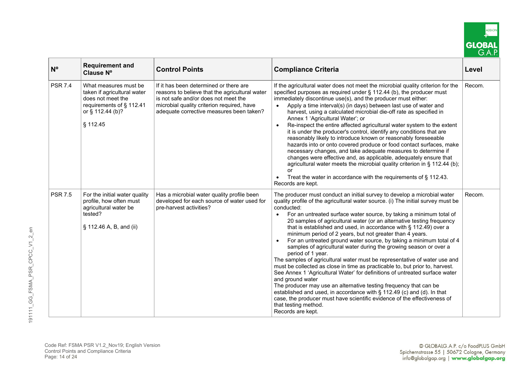

| N <sup>o</sup> | <b>Requirement and</b><br>Clause Nº                                                                                                   | <b>Control Points</b>                                                                                                                                                                                                      | <b>Compliance Criteria</b>                                                                                                                                                                                                                                                                                                                                                                                                                                                                                                                                                                                                                                                                                                                                                                                                                                                                                                                                                                                                                                                                                                                                                            | Level  |
|----------------|---------------------------------------------------------------------------------------------------------------------------------------|----------------------------------------------------------------------------------------------------------------------------------------------------------------------------------------------------------------------------|---------------------------------------------------------------------------------------------------------------------------------------------------------------------------------------------------------------------------------------------------------------------------------------------------------------------------------------------------------------------------------------------------------------------------------------------------------------------------------------------------------------------------------------------------------------------------------------------------------------------------------------------------------------------------------------------------------------------------------------------------------------------------------------------------------------------------------------------------------------------------------------------------------------------------------------------------------------------------------------------------------------------------------------------------------------------------------------------------------------------------------------------------------------------------------------|--------|
| <b>PSR 7.4</b> | What measures must be<br>taken if agricultural water<br>does not meet the<br>requirements of § 112.41<br>or § 112.44 (b)?<br>§ 112.45 | If it has been determined or there are<br>reasons to believe that the agricultural water<br>is not safe and/or does not meet the<br>microbial quality criterion required, have<br>adequate corrective measures been taken? | If the agricultural water does not meet the microbial quality criterion for the<br>specified purposes as required under § 112.44 (b), the producer must<br>immediately discontinue use(s), and the producer must either:<br>Apply a time interval(s) (in days) between last use of water and<br>harvest, using a calculated microbial die-off rate as specified in<br>Annex 1 'Agricultural Water'; or<br>Re-inspect the entire affected agricultural water system to the extent<br>$\bullet$<br>it is under the producer's control, identify any conditions that are<br>reasonably likely to introduce known or reasonably foreseeable<br>hazards into or onto covered produce or food contact surfaces, make<br>necessary changes, and take adequate measures to determine if<br>changes were effective and, as applicable, adequately ensure that<br>agricultural water meets the microbial quality criterion in § 112.44 (b);<br>or<br>Treat the water in accordance with the requirements of $\S$ 112.43.<br>Records are kept.                                                                                                                                                   | Recom. |
| <b>PSR 7.5</b> | For the initial water quality<br>profile, how often must<br>agricultural water be<br>tested?<br>§ 112.46 A, B, and (ii)               | Has a microbial water quality profile been<br>developed for each source of water used for<br>pre-harvest activities?                                                                                                       | The producer must conduct an initial survey to develop a microbial water<br>quality profile of the agricultural water source. (i) The initial survey must be<br>conducted:<br>For an untreated surface water source, by taking a minimum total of<br>$\bullet$<br>20 samples of agricultural water (or an alternative testing frequency<br>that is established and used, in accordance with $\S$ 112.49) over a<br>minimum period of 2 years, but not greater than 4 years.<br>For an untreated ground water source, by taking a minimum total of 4<br>samples of agricultural water during the growing season or over a<br>period of 1 year.<br>The samples of agricultural water must be representative of water use and<br>must be collected as close in time as practicable to, but prior to, harvest.<br>See Annex 1 'Agricultural Water' for definitions of untreated surface water<br>and ground water<br>The producer may use an alternative testing frequency that can be<br>established and used, in accordance with § 112.49 (c) and (d). In that<br>case, the producer must have scientific evidence of the effectiveness of<br>that testing method.<br>Records are kept. | Recom. |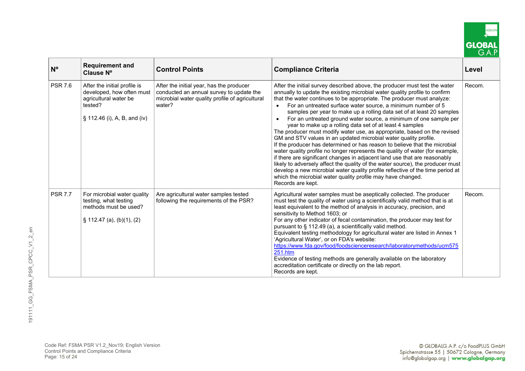

| $N^{\circ}$    | <b>Requirement and</b><br>Clause N°                                                                                           | <b>Control Points</b>                                                                                                                             | <b>Compliance Criteria</b>                                                                                                                                                                                                                                                                                                                                                                                                                                                                                                                                                                                                                                                                                                                                                                                                                                                                                                                                                                                                                                                                                                                                       | Level  |
|----------------|-------------------------------------------------------------------------------------------------------------------------------|---------------------------------------------------------------------------------------------------------------------------------------------------|------------------------------------------------------------------------------------------------------------------------------------------------------------------------------------------------------------------------------------------------------------------------------------------------------------------------------------------------------------------------------------------------------------------------------------------------------------------------------------------------------------------------------------------------------------------------------------------------------------------------------------------------------------------------------------------------------------------------------------------------------------------------------------------------------------------------------------------------------------------------------------------------------------------------------------------------------------------------------------------------------------------------------------------------------------------------------------------------------------------------------------------------------------------|--------|
| <b>PSR 7.6</b> | After the initial profile is<br>developed, how often must<br>agricultural water be<br>tested?<br>§ 112.46 (i), A, B, and (iv) | After the initial year, has the producer<br>conducted an annual survey to update the<br>microbial water quality profile of agricultural<br>water? | After the initial survey described above, the producer must test the water<br>annually to update the existing microbial water quality profile to confirm<br>that the water continues to be appropriate. The producer must analyze:<br>For an untreated surface water source, a minimum number of 5<br>samples per year to make up a rolling data set of at least 20 samples<br>For an untreated ground water source, a minimum of one sample per<br>year to make up a rolling data set of at least 4 samples<br>The producer must modify water use, as appropriate, based on the revised<br>GM and STV values in an updated microbial water quality profile.<br>If the producer has determined or has reason to believe that the microbial<br>water quality profile no longer represents the quality of water (for example,<br>if there are significant changes in adjacent land use that are reasonably<br>likely to adversely affect the quality of the water source), the producer must<br>develop a new microbial water quality profile reflective of the time period at<br>which the microbial water quality profile may have changed.<br>Records are kept. | Recom. |
| <b>PSR 7.7</b> | For microbial water quality<br>testing, what testing<br>methods must be used?<br>$\S$ 112.47 (a), (b)(1), (2)                 | Are agricultural water samples tested<br>following the requirements of the PSR?                                                                   | Agricultural water samples must be aseptically collected. The producer<br>must test the quality of water using a scientifically valid method that is at<br>least equivalent to the method of analysis in accuracy, precision, and<br>sensitivity to Method 1603; or<br>For any other indicator of fecal contamination, the producer may test for<br>pursuant to § 112.49 (a), a scientifically valid method.<br>Equivalent testing methodology for agricultural water are listed in Annex 1<br>'Agricultural Water', or on FDA's website:<br>https://www.fda.gov/food/foodscienceresearch/laboratorymethods/ucm575<br>251.htm<br>Evidence of testing methods are generally available on the laboratory<br>accreditation certificate or directly on the lab report.<br>Records are kept.                                                                                                                                                                                                                                                                                                                                                                          | Recom. |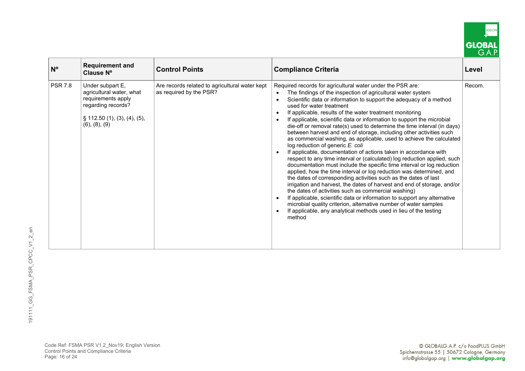

| $N^{\circ}$    | <b>Requirement and</b><br>Clause N°                                                                                                                  | <b>Control Points</b>                                                     | <b>Compliance Criteria</b>                                                                                                                                                                                                                                                                                                                                                                                                                                                                                                                                                                                                                                                                                                                                                                                                                                                                                                                                                                                                                                                                                                                                                                                                                                                                                                                                                                      | Level  |
|----------------|------------------------------------------------------------------------------------------------------------------------------------------------------|---------------------------------------------------------------------------|-------------------------------------------------------------------------------------------------------------------------------------------------------------------------------------------------------------------------------------------------------------------------------------------------------------------------------------------------------------------------------------------------------------------------------------------------------------------------------------------------------------------------------------------------------------------------------------------------------------------------------------------------------------------------------------------------------------------------------------------------------------------------------------------------------------------------------------------------------------------------------------------------------------------------------------------------------------------------------------------------------------------------------------------------------------------------------------------------------------------------------------------------------------------------------------------------------------------------------------------------------------------------------------------------------------------------------------------------------------------------------------------------|--------|
| <b>PSR 7.8</b> | Under subpart E,<br>agricultural water, what<br>requirements apply<br>regarding records?<br>$\S$ 112.50 (1), (3), (4), (5),<br>$(6)$ , $(8)$ , $(9)$ | Are records related to agricultural water kept<br>as required by the PSR? | Required records for agricultural water under the PSR are:<br>The findings of the inspection of agricultural water system<br>Scientific data or information to support the adequacy of a method<br>used for water treatment<br>If applicable, results of the water treatment monitoring<br>$\bullet$<br>If applicable, scientific data or information to support the microbial<br>$\bullet$<br>die-off or removal rate(s) used to determine the time interval (in days)<br>between harvest and end of storage, including other activities such<br>as commercial washing, as applicable, used to achieve the calculated<br>log reduction of generic E. coli<br>If applicable, documentation of actions taken in accordance with<br>respect to any time interval or (calculated) log reduction applied, such<br>documentation must include the specific time interval or log reduction<br>applied, how the time interval or log reduction was determined, and<br>the dates of corresponding activities such as the dates of last<br>irrigation and harvest, the dates of harvest and end of storage, and/or<br>the dates of activities such as commercial washing)<br>If applicable, scientific data or information to support any alternative<br>microbial quality criterion, alternative number of water samples<br>If applicable, any analytical methods used in lieu of the testing<br>method | Recom. |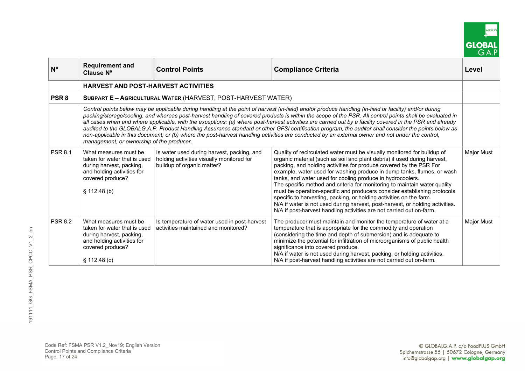|        | DD-O |
|--------|------|
| GLOBAI |      |

| $N^{\circ}$      | <b>Requirement and</b><br>Clause Nº                                                                                                                | <b>Control Points</b>                                                                                                                                                                                                                                                                                                                                                                                                                                                                                                                                                                                                                                                                                                                                                                    | <b>Compliance Criteria</b>                                                                                                                                                                                                                                                                                                                                                                                                                                                                                                                                                                                                                                                                                                                                 | Level      |
|------------------|----------------------------------------------------------------------------------------------------------------------------------------------------|------------------------------------------------------------------------------------------------------------------------------------------------------------------------------------------------------------------------------------------------------------------------------------------------------------------------------------------------------------------------------------------------------------------------------------------------------------------------------------------------------------------------------------------------------------------------------------------------------------------------------------------------------------------------------------------------------------------------------------------------------------------------------------------|------------------------------------------------------------------------------------------------------------------------------------------------------------------------------------------------------------------------------------------------------------------------------------------------------------------------------------------------------------------------------------------------------------------------------------------------------------------------------------------------------------------------------------------------------------------------------------------------------------------------------------------------------------------------------------------------------------------------------------------------------------|------------|
|                  | <b>HARVEST AND POST-HARVEST ACTIVITIES</b>                                                                                                         |                                                                                                                                                                                                                                                                                                                                                                                                                                                                                                                                                                                                                                                                                                                                                                                          |                                                                                                                                                                                                                                                                                                                                                                                                                                                                                                                                                                                                                                                                                                                                                            |            |
| PSR <sub>8</sub> |                                                                                                                                                    | SUBPART E - AGRICULTURAL WATER (HARVEST, POST-HARVEST WATER)                                                                                                                                                                                                                                                                                                                                                                                                                                                                                                                                                                                                                                                                                                                             |                                                                                                                                                                                                                                                                                                                                                                                                                                                                                                                                                                                                                                                                                                                                                            |            |
|                  | management, or ownership of the producer.                                                                                                          | Control points below may be applicable during handling at the point of harvest (in-field) and/or produce handling (in-field or facility) and/or during<br>packing/storage/cooling, and whereas post-harvest handling of covered products is within the scope of the PSR. All control points shall be evaluated in<br>all cases when and where applicable, with the exceptions: (a) where post-harvest activities are carried out by a facility covered in the PSR and already<br>audited to the GLOBALG.A.P. Product Handling Assurance standard or other GFSI certification program, the auditor shall consider the points below as<br>non-applicable in this document; or (b) where the post-harvest handling activities are conducted by an external owner and not under the control, |                                                                                                                                                                                                                                                                                                                                                                                                                                                                                                                                                                                                                                                                                                                                                            |            |
| <b>PSR 8.1</b>   | What measures must be<br>taken for water that is used<br>during harvest, packing,<br>and holding activities for<br>covered produce?<br>§ 112.48(b) | Is water used during harvest, packing, and<br>holding activities visually monitored for<br>buildup of organic matter?                                                                                                                                                                                                                                                                                                                                                                                                                                                                                                                                                                                                                                                                    | Quality of recirculated water must be visually monitored for buildup of<br>organic material (such as soil and plant debris) if used during harvest,<br>packing, and holding activities for produce covered by the PSR For<br>example, water used for washing produce in dump tanks, flumes, or wash<br>tanks, and water used for cooling produce in hydrocoolers.<br>The specific method and criteria for monitoring to maintain water quality<br>must be operation-specific and producers consider establishing protocols<br>specific to harvesting, packing, or holding activities on the farm.<br>N/A if water is not used during harvest, post-harvest, or holding activities.<br>N/A if post-harvest handling activities are not carried out on-farm. | Major Must |
| <b>PSR 8.2</b>   | What measures must be<br>taken for water that is used<br>during harvest, packing,<br>and holding activities for<br>covered produce?<br>\$112.48(c) | Is temperature of water used in post-harvest<br>activities maintained and monitored?                                                                                                                                                                                                                                                                                                                                                                                                                                                                                                                                                                                                                                                                                                     | The producer must maintain and monitor the temperature of water at a<br>temperature that is appropriate for the commodity and operation<br>(considering the time and depth of submersion) and is adequate to<br>minimize the potential for infiltration of microorganisms of public health<br>significance into covered produce.<br>N/A if water is not used during harvest, packing, or holding activities.<br>N/A if post-harvest handling activities are not carried out on-farm.                                                                                                                                                                                                                                                                       | Major Must |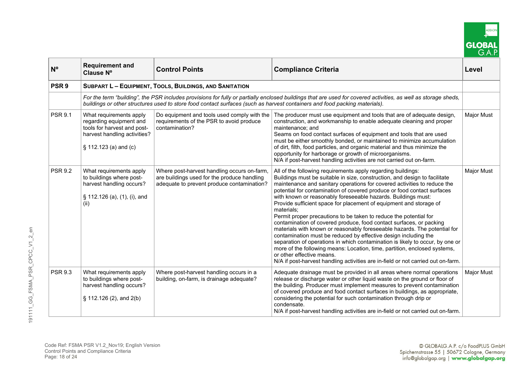

| $N^{\circ}$      | <b>Requirement and</b><br>Clause N°                                                                                                           | <b>Control Points</b><br><b>Compliance Criteria</b>                                                                                      |                                                                                                                                                                                                                                                                                                                                                                                                                                                                                                                                                                                                                                                                                                                                                                                                                                                                                                                                                                                                                                   | Level             |  |
|------------------|-----------------------------------------------------------------------------------------------------------------------------------------------|------------------------------------------------------------------------------------------------------------------------------------------|-----------------------------------------------------------------------------------------------------------------------------------------------------------------------------------------------------------------------------------------------------------------------------------------------------------------------------------------------------------------------------------------------------------------------------------------------------------------------------------------------------------------------------------------------------------------------------------------------------------------------------------------------------------------------------------------------------------------------------------------------------------------------------------------------------------------------------------------------------------------------------------------------------------------------------------------------------------------------------------------------------------------------------------|-------------------|--|
| PSR <sub>9</sub> |                                                                                                                                               | <b>SUBPART L - EQUIPMENT, TOOLS, BUILDINGS, AND SANITATION</b>                                                                           |                                                                                                                                                                                                                                                                                                                                                                                                                                                                                                                                                                                                                                                                                                                                                                                                                                                                                                                                                                                                                                   |                   |  |
|                  |                                                                                                                                               |                                                                                                                                          | For the term "building", the PSR includes provisions for fully or partially enclosed buildings that are used for covered activities, as well as storage sheds,<br>buildings or other structures used to store food contact surfaces (such as harvest containers and food packing materials).                                                                                                                                                                                                                                                                                                                                                                                                                                                                                                                                                                                                                                                                                                                                      |                   |  |
| <b>PSR 9.1</b>   | What requirements apply<br>regarding equipment and<br>tools for harvest and post-<br>harvest handling activities?<br>$\S$ 112.123 (a) and (c) | Do equipment and tools used comply with the<br>requirements of the PSR to avoid produce<br>contamination?                                | The producer must use equipment and tools that are of adequate design,<br>construction, and workmanship to enable adequate cleaning and proper<br>maintenance: and<br>Seams on food contact surfaces of equipment and tools that are used<br>must be either smoothly bonded, or maintained to minimize accumulation<br>of dirt, filth, food particles, and organic material and thus minimize the<br>opportunity for harborage or growth of microorganisms.<br>N/A if post-harvest handling activities are not carried out on-farm.                                                                                                                                                                                                                                                                                                                                                                                                                                                                                               | <b>Major Must</b> |  |
| <b>PSR 9.2</b>   | What requirements apply<br>to buildings where post-<br>harvest handling occurs?<br>§ 112.126 (a), (1), (i), and<br>(ii)                       | Where post-harvest handling occurs on-farm,<br>are buildings used for the produce handling<br>adequate to prevent produce contamination? | All of the following requirements apply regarding buildings:<br>Buildings must be suitable in size, construction, and design to facilitate<br>maintenance and sanitary operations for covered activities to reduce the<br>potential for contamination of covered produce or food contact surfaces<br>with known or reasonably foreseeable hazards. Buildings must:<br>Provide sufficient space for placement of equipment and storage of<br>materials;<br>Permit proper precautions to be taken to reduce the potential for<br>contamination of covered produce, food contact surfaces, or packing<br>materials with known or reasonably foreseeable hazards. The potential for<br>contamination must be reduced by effective design including the<br>separation of operations in which contamination is likely to occur, by one or<br>more of the following means: Location, time, partition, enclosed systems,<br>or other effective means.<br>N/A if post-harvest handling activities are in-field or not carried out on-farm. | <b>Major Must</b> |  |
| <b>PSR 9.3</b>   | What requirements apply<br>to buildings where post-<br>harvest handling occurs?<br>§ 112.126 (2), and 2(b)                                    | Where post-harvest handling occurs in a<br>building, on-farm, is drainage adequate?                                                      | Adequate drainage must be provided in all areas where normal operations<br>release or discharge water or other liquid waste on the ground or floor of<br>the building. Producer must implement measures to prevent contamination<br>of covered produce and food contact surfaces in buildings, as appropriate,<br>considering the potential for such contamination through drip or<br>condensate.<br>N/A if post-harvest handling activities are in-field or not carried out on-farm.                                                                                                                                                                                                                                                                                                                                                                                                                                                                                                                                             |                   |  |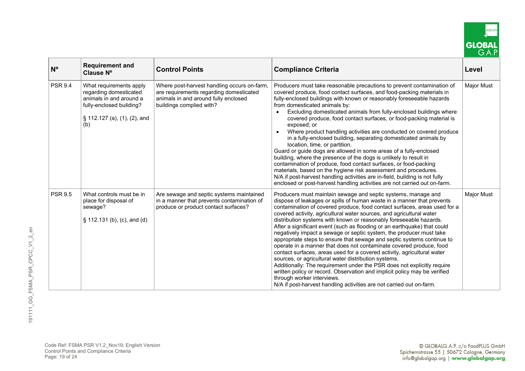

| $N^{\circ}$    | <b>Requirement and</b><br>Clause N°                                                                                                             | <b>Control Points</b>                                                                                                                                      | <b>Compliance Criteria</b>                                                                                                                                                                                                                                                                                                                                                                                                                                                                                                                                                                                                                                                                                                                                                                                                                                                                                                                                                                                                                                              | Level      |
|----------------|-------------------------------------------------------------------------------------------------------------------------------------------------|------------------------------------------------------------------------------------------------------------------------------------------------------------|-------------------------------------------------------------------------------------------------------------------------------------------------------------------------------------------------------------------------------------------------------------------------------------------------------------------------------------------------------------------------------------------------------------------------------------------------------------------------------------------------------------------------------------------------------------------------------------------------------------------------------------------------------------------------------------------------------------------------------------------------------------------------------------------------------------------------------------------------------------------------------------------------------------------------------------------------------------------------------------------------------------------------------------------------------------------------|------------|
| <b>PSR 9.4</b> | What requirements apply<br>regarding domesticated<br>animals in and around a<br>fully-enclosed building?<br>§ 112.127 (a), (1), (2), and<br>(b) | Where post-harvest handling occurs on-farm,<br>are requirements regarding domesticated<br>animals in and around fully enclosed<br>buildings complied with? | Producers must take reasonable precautions to prevent contamination of<br>covered produce, food contact surfaces, and food-packing materials in<br>fully-enclosed buildings with known or reasonably foreseeable hazards<br>from domesticated animals by:<br>Excluding domesticated animals from fully-enclosed buildings where<br>covered produce, food contact surfaces, or food-packing material is<br>exposed; or<br>Where product handling activities are conducted on covered produce<br>in a fully-enclosed building, separating domesticated animals by<br>location, time, or partition.<br>Guard or guide dogs are allowed in some areas of a fully-enclosed<br>building, where the presence of the dogs is unlikely to result in<br>contamination of produce, food contact surfaces, or food-packing<br>materials, based on the hygiene risk assessment and procedures.<br>N/A if post-harvest handling activities are in-field, building is not fully<br>enclosed or post-harvest handling activities are not carried out on-farm.                           | Major Must |
| <b>PSR 9.5</b> | What controls must be in<br>place for disposal of<br>sewage?<br>§ 112.131 (b), (c), and (d)                                                     | Are sewage and septic systems maintained<br>in a manner that prevents contamination of<br>produce or product contact surfaces?                             | Producers must maintain sewage and septic systems, manage and<br>dispose of leakages or spills of human waste in a manner that prevents<br>contamination of covered produce, food contact surfaces, areas used for a<br>covered activity, agricultural water sources, and agricultural water<br>distribution systems with known or reasonably foreseeable hazards.<br>After a significant event (such as flooding or an earthquake) that could<br>negatively impact a sewage or septic system, the producer must take<br>appropriate steps to ensure that sewage and septic systems continue to<br>operate in a manner that does not contaminate covered produce, food<br>contact surfaces, areas used for a covered activity, agricultural water<br>sources, or agricultural water distribution systems.<br>Additionally: The requirement under the PSR does not explicitly require<br>written policy or record. Observation and implicit policy may be verified<br>through worker interviews.<br>N/A if post-harvest handling activities are not carried out on-farm. | Major Must |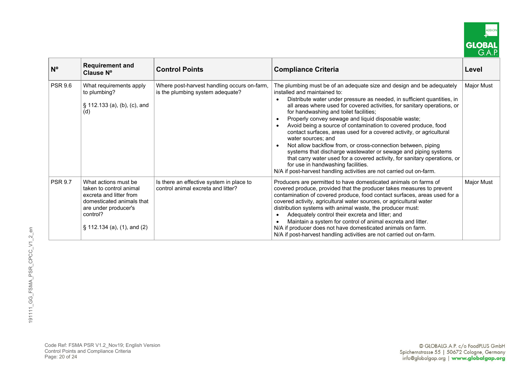

| $N^{\circ}$    | <b>Requirement and</b><br>Clause N°                                                                                                                                           | <b>Control Points</b>                                                           | <b>Compliance Criteria</b>                                                                                                                                                                                                                                                                                                                                                                                                                                                                                                                                                                                                                                                                                                                                                                                                                                 | Level      |
|----------------|-------------------------------------------------------------------------------------------------------------------------------------------------------------------------------|---------------------------------------------------------------------------------|------------------------------------------------------------------------------------------------------------------------------------------------------------------------------------------------------------------------------------------------------------------------------------------------------------------------------------------------------------------------------------------------------------------------------------------------------------------------------------------------------------------------------------------------------------------------------------------------------------------------------------------------------------------------------------------------------------------------------------------------------------------------------------------------------------------------------------------------------------|------------|
| <b>PSR 9.6</b> | What requirements apply<br>to plumbing?<br>§ 112.133 (a), (b), (c), and<br>(d)                                                                                                | Where post-harvest handling occurs on-farm,<br>is the plumbing system adequate? | The plumbing must be of an adequate size and design and be adequately<br>installed and maintained to:<br>Distribute water under pressure as needed, in sufficient quantities, in<br>all areas where used for covered activities, for sanitary operations, or<br>for handwashing and toilet facilities;<br>Properly convey sewage and liquid disposable waste;<br>Avoid being a source of contamination to covered produce, food<br>contact surfaces, areas used for a covered activity, or agricultural<br>water sources; and<br>Not allow backflow from, or cross-connection between, piping<br>systems that discharge wastewater or sewage and piping systems<br>that carry water used for a covered activity, for sanitary operations, or<br>for use in handwashing facilities.<br>N/A if post-harvest handling activities are not carried out on-farm. | Major Must |
| <b>PSR 9.7</b> | What actions must be<br>taken to control animal<br>excreta and litter from<br>domesticated animals that<br>are under producer's<br>control?<br>$\S$ 112.134 (a), (1), and (2) | Is there an effective system in place to<br>control animal excreta and litter?  | Producers are permitted to have domesticated animals on farms of<br>covered produce, provided that the producer takes measures to prevent<br>contamination of covered produce, food contact surfaces, areas used for a<br>covered activity, agricultural water sources, or agricultural water<br>distribution systems with animal waste, the producer must:<br>Adequately control their excreta and litter; and<br>Maintain a system for control of animal excreta and litter.<br>N/A if producer does not have domesticated animals on farm.<br>N/A if post-harvest handling activities are not carried out on-farm.                                                                                                                                                                                                                                      | Major Must |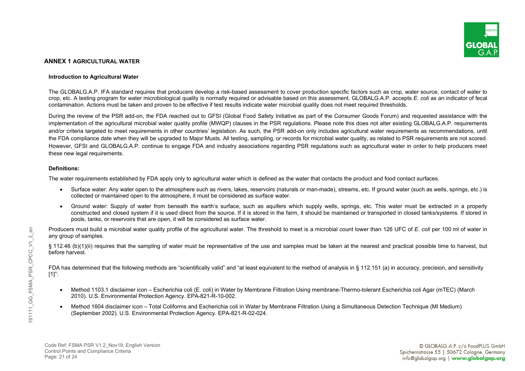

# **ANNEX 1 AGRICULTURAL WATER**

### **Introduction to Agricultural Water**

The GLOBALG.A.P. IFA standard requires that producers develop a risk-based assessment to cover production specific factors such as crop, water source, contact of water to crop, etc. A testing program for water microbiological quality is normally required or advisable based on this assessment. GLOBALG.A.P. accepts *E. coli* as an indicator of fecal contamination. Actions must be taken and proven to be effective if test results indicate water microbial quality does not meet required thresholds.

During the review of the PSR add-on, the FDA reached out to GFSI (Global Food Safety Initiative as part of the Consumer Goods Forum) and requested assistance with the implementation of the agricultural microbial water quality profile (MWQP) clauses in the PSR regulations. Please note this does not alter existing GLOBALG.A.P. requirements and/or criteria targeted to meet requirements in other countries' legislation. As such, the PSR add-on only includes agricultural water requirements as recommendations, until the FDA compliance date when they will be upgraded to Major Musts. All testing, sampling, or records for microbial water quality, as related to PSR requirements are not scored. However, GFSI and GLOBALG.A.P. continue to engage FDA and industry associations regarding PSR regulations such as agricultural water in order to help producers meet these new legal requirements.

### **Definitions:**

The water requirements established by FDA apply only to agricultural water which is defined as the water that contacts the product and food contact surfaces.

- Surface water: Any water open to the atmosphere such as rivers, lakes, reservoirs (naturals or man-made), streams, etc. If ground water (such as wells, springs, etc.) is collected or maintained open to the atmosphere, it must be considered as surface water.
- Ground water: Supply of water from beneath the earth's surface, such as aquifers which supply wells, springs, etc. This water must be extracted in a properly constructed and closed system if it is used direct from the source. If it is stored in the farm, it should be maintained or transported in closed tanks/systems. If stored in pools, tanks, or reservoirs that are open, it will be considered as surface water.

Producers must build a microbial water quality profile of the agricultural water. The threshold to meet is a microbial count lower than 126 UFC of *E. coli* per 100 ml of water in any group of samples.

§ 112.46 (b)(1)(ii) requires that the sampling of water must be representative of the use and samples must be taken at the nearest and practical possible time to harvest, but before harvest.

FDA has determined that the following methods are "scientifically valid" and "at least equivalent to the method of analysis in § 112.151 (a) in accuracy, precision, and sensitivity [1]":

- Method 1103.1 disclaimer icon Escherichia coli (E. coli) in Water by Membrane Filtration Using membrane-Thermo-tolerant Escherichia coli Agar (mTEC) (March 2010). U.S. Environmental Protection Agency. EPA-821-R-10-002.
- Method 1604 disclaimer icon Total Coliforms and Escherichia coli in Water by Membrane Filtration Using a Simultaneous Detection Technique (MI Medium) (September 2002). U.S. Environmental Protection Agency. EPA-821-R-02-024.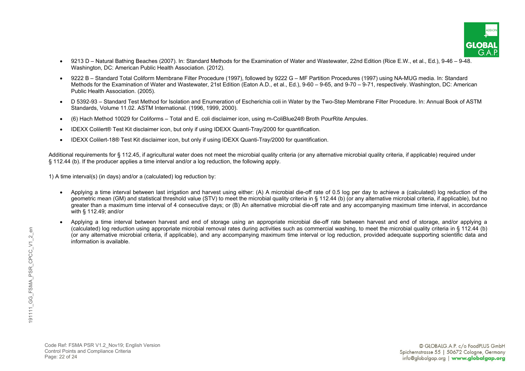

- 9213 D Natural Bathing Beaches (2007). In: Standard Methods for the Examination of Water and Wastewater, 22nd Edition (Rice E.W., et al., Ed.), 9-46 9-48. Washington, DC: American Public Health Association. (2012).
- 9222 B Standard Total Coliform Membrane Filter Procedure (1997), followed by 9222 G MF Partition Procedures (1997) using NA-MUG media. In: Standard Methods for the Examination of Water and Wastewater, 21st Edition (Eaton A.D., et al., Ed.), 9-60 – 9-65, and 9-70 – 9-71, respectively. Washington, DC: American Public Health Association. (2005).
- D 5392-93 Standard Test Method for Isolation and Enumeration of Escherichia coli in Water by the Two-Step Membrane Filter Procedure. In: Annual Book of ASTM Standards, Volume 11.02. ASTM International. (1996, 1999, 2000).
- (6) Hach Method 10029 for Coliforms Total and E. coli disclaimer icon, using m-ColiBlue24® Broth PourRite Ampules.
- IDEXX Colilert<sup>®</sup> Test Kit disclaimer icon, but only if using IDEXX Quanti-Tray/2000 for quantification.
- IDEXX Colilert-18® Test Kit disclaimer icon, but only if using IDEXX Quanti-Tray/2000 for quantification.

Additional requirements for § 112.45, if agricultural water does not meet the microbial quality criteria (or any alternative microbial quality criteria, if applicable) required under § 112.44 (b). If the producer applies a time interval and/or a log reduction, the following apply.

1) A time interval(s) (in days) and/or a (calculated) log reduction by:

- Applying a time interval between last irrigation and harvest using either: (A) A microbial die-off rate of 0.5 log per day to achieve a (calculated) log reduction of the geometric mean (GM) and statistical threshold value (STV) to meet the microbial quality criteria in § 112.44 (b) (or any alternative microbial criteria, if applicable), but no greater than a maximum time interval of 4 consecutive days; or (B) An alternative microbial die-off rate and any accompanying maximum time interval, in accordance with § 112.49; and/or
- Applying a time interval between harvest and end of storage using an appropriate microbial die-off rate between harvest and end of storage, and/or applying a (calculated) log reduction using appropriate microbial removal rates during activities such as commercial washing, to meet the microbial quality criteria in § 112.44 (b) (or any alternative microbial criteria, if applicable), and any accompanying maximum time interval or log reduction, provided adequate supporting scientific data and information is available.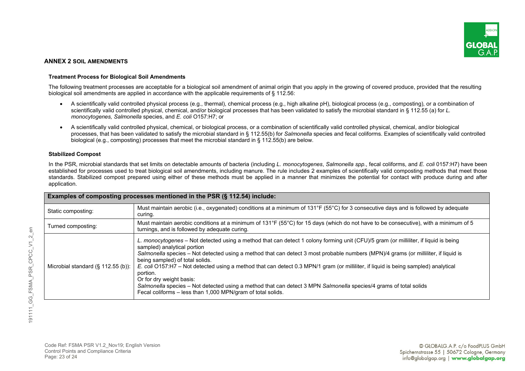

# **ANNEX 2 SOIL AMENDMENTS**

#### **Treatment Process for Biological Soil Amendments**

The following treatment processes are acceptable for a biological soil amendment of animal origin that you apply in the growing of covered produce, provided that the resulting biological soil amendments are applied in accordance with the applicable requirements of § 112.56:

- A scientifically valid controlled physical process (e.g., thermal), chemical process (e.g., high alkaline pH), biological process (e.g., composting), or a combination of scientifically valid controlled physical, chemical, and/or biological processes that has been validated to satisfy the microbial standard in § 112.55 (a) for *L. monocytogenes, Salmonella* species, and *E. coli* O157:H7; or
- A scientifically valid controlled physical, chemical, or biological process, or a combination of scientifically valid controlled physical, chemical, and/or biological processes, that has been validated to satisfy the microbial standard in § 112.55(b) for *Salmonella* species and fecal coliforms. Examples of scientifically valid controlled biological (e.g., composting) processes that meet the microbial standard in § 112.55(b) are below.

#### **Stabilized Compost**

In the PSR, microbial standards that set limits on detectable amounts of bacteria (including *L. monocytogenes*, *Salmonella spp.*, fecal coliforms, and *E. coli* 0157:H7) have been established for processes used to treat biological soil amendments, including manure. The rule includes 2 examples of scientifically valid composting methods that meet those standards. Stabilized compost prepared using either of these methods must be applied in a manner that minimizes the potential for contact with produce during and after application.

| Examples of composting processes mentioned in the PSR (§ 112.54) include: |                                                                                                                                                                                                                                                                                                                                                                                                                                                                                                                                                                                                                                                                                                                  |  |  |
|---------------------------------------------------------------------------|------------------------------------------------------------------------------------------------------------------------------------------------------------------------------------------------------------------------------------------------------------------------------------------------------------------------------------------------------------------------------------------------------------------------------------------------------------------------------------------------------------------------------------------------------------------------------------------------------------------------------------------------------------------------------------------------------------------|--|--|
| Static composting:                                                        | Must maintain aerobic (i.e., oxygenated) conditions at a minimum of 131°F (55°C) for 3 consecutive days and is followed by adequate<br>curing.                                                                                                                                                                                                                                                                                                                                                                                                                                                                                                                                                                   |  |  |
| Turned composting:                                                        | Must maintain aerobic conditions at a minimum of 131°F (55°C) for 15 days (which do not have to be consecutive), with a minimum of 5<br>turnings, and is followed by adequate curing.                                                                                                                                                                                                                                                                                                                                                                                                                                                                                                                            |  |  |
| Microbial standard $(\S 112.55(b))$ :                                     | L. monocytogenes – Not detected using a method that can detect 1 colony forming unit (CFU)/5 gram (or milliliter, if liquid is being<br>sampled) analytical portion<br>Salmonella species – Not detected using a method that can detect 3 most probable numbers (MPN)/4 grams (or milliliter, if liquid is<br>being sampled) of total solids.<br>E. coli O157:H7 – Not detected using a method that can detect 0.3 MPN/1 gram (or milliliter, if liquid is being sampled) analytical<br>portion.<br>Or for dry weight basis:<br>Salmonella species – Not detected using a method that can detect 3 MPN Salmonella species/4 grams of total solids<br>Fecal coliforms – less than 1,000 MPN/gram of total solids. |  |  |